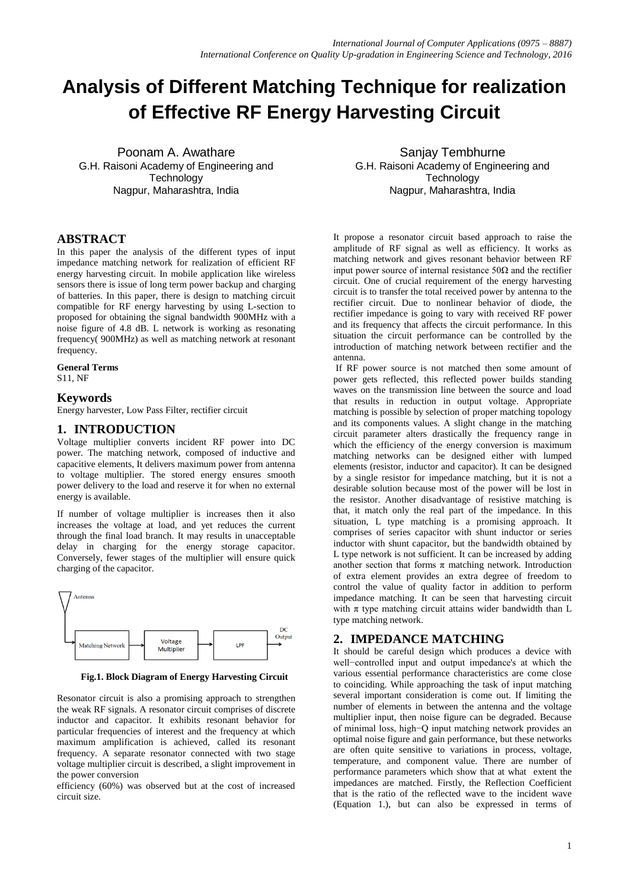# **Analysis of Different Matching Technique for realization of Effective RF Energy Harvesting Circuit**

Poonam A. Awathare G.H. Raisoni Academy of Engineering and **Technology** Nagpur, Maharashtra, India

## **ABSTRACT**

In this paper the analysis of the different types of input impedance matching network for realization of efficient RF energy harvesting circuit. In mobile application like wireless sensors there is issue of long term power backup and charging of batteries. In this paper, there is design to matching circuit compatible for RF energy harvesting by using L-section to proposed for obtaining the signal bandwidth 900MHz with a noise figure of 4.8 dB. L network is working as resonating frequency( 900MHz) as well as matching network at resonant frequency.

#### **General Terms**

S11, NF

#### **Keywords**

Energy harvester, Low Pass Filter, rectifier circuit

### **1. INTRODUCTION**

Voltage multiplier converts incident RF power into DC power. The matching network, composed of inductive and capacitive elements, It delivers maximum power from antenna to voltage multiplier. The stored energy ensures smooth power delivery to the load and reserve it for when no external energy is available.

If number of voltage multiplier is increases then it also increases the voltage at load, and yet reduces the current through the final load branch. It may results in unacceptable delay in charging for the energy storage capacitor. Conversely, fewer stages of the multiplier will ensure quick charging of the capacitor.



 **Fig.1. Block Diagram of Energy Harvesting Circuit**

Resonator circuit is also a promising approach to strengthen the weak RF signals. A resonator circuit comprises of discrete inductor and capacitor. It exhibits resonant behavior for particular frequencies of interest and the frequency at which maximum amplification is achieved, called its resonant frequency. A separate resonator connected with two stage voltage multiplier circuit is described, a slight improvement in the power conversion

efficiency (60%) was observed but at the cost of increased circuit size.

Sanjay Tembhurne G.H. Raisoni Academy of Engineering and **Technology** Nagpur, Maharashtra, India

It propose a resonator circuit based approach to raise the amplitude of RF signal as well as efficiency. It works as matching network and gives resonant behavior between RF input power source of internal resistance  $50\Omega$  and the rectifier circuit. One of crucial requirement of the energy harvesting circuit is to transfer the total received power by antenna to the rectifier circuit. Due to nonlinear behavior of diode, the rectifier impedance is going to vary with received RF power and its frequency that affects the circuit performance. In this situation the circuit performance can be controlled by the introduction of matching network between rectifier and the antenna.

If RF power source is not matched then some amount of power gets reflected, this reflected power builds standing waves on the transmission line between the source and load that results in reduction in output voltage. Appropriate matching is possible by selection of proper matching topology and its components values. A slight change in the matching circuit parameter alters drastically the frequency range in which the efficiency of the energy conversion is maximum matching networks can be designed either with lumped elements (resistor, inductor and capacitor). It can be designed by a single resistor for impedance matching, but it is not a desirable solution because most of the power will be lost in the resistor. Another disadvantage of resistive matching is that, it match only the real part of the impedance. In this situation, L type matching is a promising approach. It comprises of series capacitor with shunt inductor or series inductor with shunt capacitor, but the bandwidth obtained by L type network is not sufficient. It can be increased by adding another section that forms  $\pi$  matching network. Introduction of extra element provides an extra degree of freedom to control the value of quality factor in addition to perform impedance matching. It can be seen that harvesting circuit with  $\pi$  type matching circuit attains wider bandwidth than L type matching network.

## **2. IMPEDANCE MATCHING**

It should be careful design which produces a device with well−controlled input and output impedance's at which the various essential performance characteristics are come close to coinciding. While approaching the task of input matching several important consideration is come out. If limiting the number of elements in between the antenna and the voltage multiplier input, then noise figure can be degraded. Because of minimal loss, high−Q input matching network provides an optimal noise figure and gain performance, but these networks are often quite sensitive to variations in process, voltage, temperature, and component value. There are number of performance parameters which show that at what extent the impedances are matched. Firstly, the Reflection Coefficient that is the ratio of the reflected wave to the incident wave (Equation 1.), but can also be expressed in terms of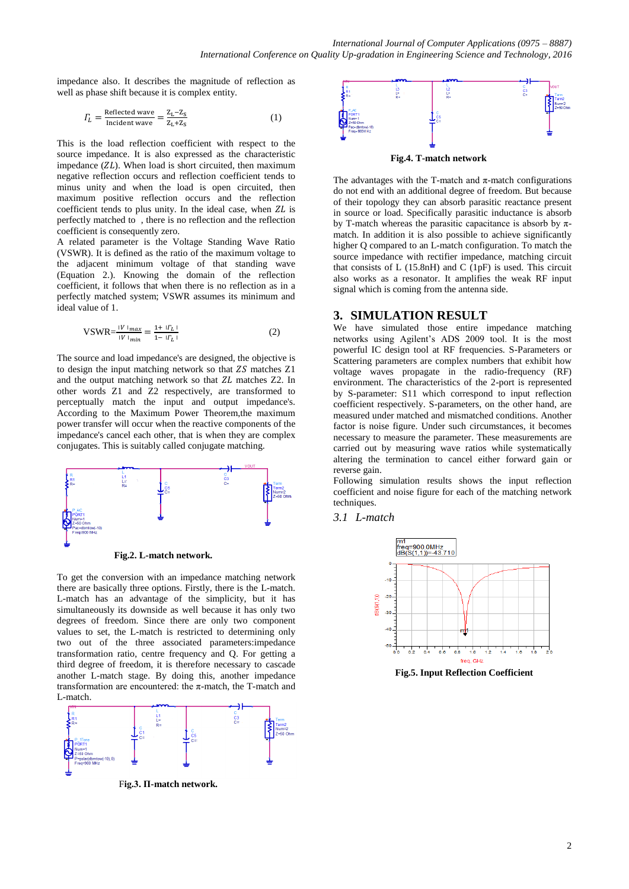impedance also. It describes the magnitude of reflection as well as phase shift because it is complex entity.

$$
T_L = \frac{\text{Reflected wave}}{\text{Incident wave}} = \frac{Z_L - Z_S}{Z_L + Z_S} \tag{1}
$$

This is the load reflection coefficient with respect to the source impedance. It is also expressed as the characteristic impedance  $(ZL)$ . When load is short circuited, then maximum negative reflection occurs and reflection coefficient tends to minus unity and when the load is open circuited, then maximum positive reflection occurs and the reflection coefficient tends to plus unity. In the ideal case, when  $ZL$  is perfectly matched to , there is no reflection and the reflection coefficient is consequently zero.

A related parameter is the Voltage Standing Wave Ratio (VSWR). It is defined as the ratio of the maximum voltage to the adjacent minimum voltage of that standing wave (Equation 2.). Knowing the domain of the reflection coefficient, it follows that when there is no reflection as in a perfectly matched system; VSWR assumes its minimum and ideal value of 1.

$$
VSWR = \frac{|V| \ln a x}{|V| \ln a} = \frac{1 + |I_L|}{1 - |I_L|}
$$
 (2)

The source and load impedance's are designed, the objective is to design the input matching network so that  $ZS$  matches  $Z1$ and the output matching network so that  $ZL$  matches  $Z2$ . In other words Z1 and Z2 respectively, are transformed to perceptually match the input and output impedance's. According to the Maximum Power Theorem,the maximum power transfer will occur when the reactive components of the impedance's cancel each other, that is when they are complex conjugates. This is suitably called conjugate matching.



 **Fig.2. L-match network.**

To get the conversion with an impedance matching network there are basically three options. Firstly, there is the L-match. L-match has an advantage of the simplicity, but it has simultaneously its downside as well because it has only two degrees of freedom. Since there are only two component values to set, the L-match is restricted to determining only two out of the three associated parameters:impedance transformation ratio, centre frequency and Q. For getting a third degree of freedom, it is therefore necessary to cascade another L-match stage. By doing this, another impedance transformation are encountered: the π-match, the T-match and L-match.



F**ig.3. Π-match network.**



 **Fig.4. T-match network**

The advantages with the T-match and  $\pi$ -match configurations do not end with an additional degree of freedom. But because of their topology they can absorb parasitic reactance present in source or load. Specifically parasitic inductance is absorb by T-match whereas the parasitic capacitance is absorb by  $\pi$ match. In addition it is also possible to achieve significantly higher Q compared to an L-match configuration. To match the source impedance with rectifier impedance, matching circuit that consists of L (15.8nH) and C (1pF) is used. This circuit also works as a resonator. It amplifies the weak RF input signal which is coming from the antenna side.

#### **3. SIMULATION RESULT**

We have simulated those entire impedance matching networks using Agilent's ADS 2009 tool. It is the most powerful IC design tool at RF frequencies. S-Parameters or Scattering parameters are complex numbers that exhibit how voltage waves propagate in the radio-frequency (RF) environment. The characteristics of the 2-port is represented by S-parameter: S11 which correspond to input reflection coefficient respectively. S-parameters, on the other hand, are measured under matched and mismatched conditions. Another factor is noise figure. Under such circumstances, it becomes necessary to measure the parameter. These measurements are carried out by measuring wave ratios while systematically altering the termination to cancel either forward gain or reverse gain.

Following simulation results shows the input reflection coefficient and noise figure for each of the matching network techniques.

#### *3.1 L-match*



 **Fig.5. Input Reflection Coefficient**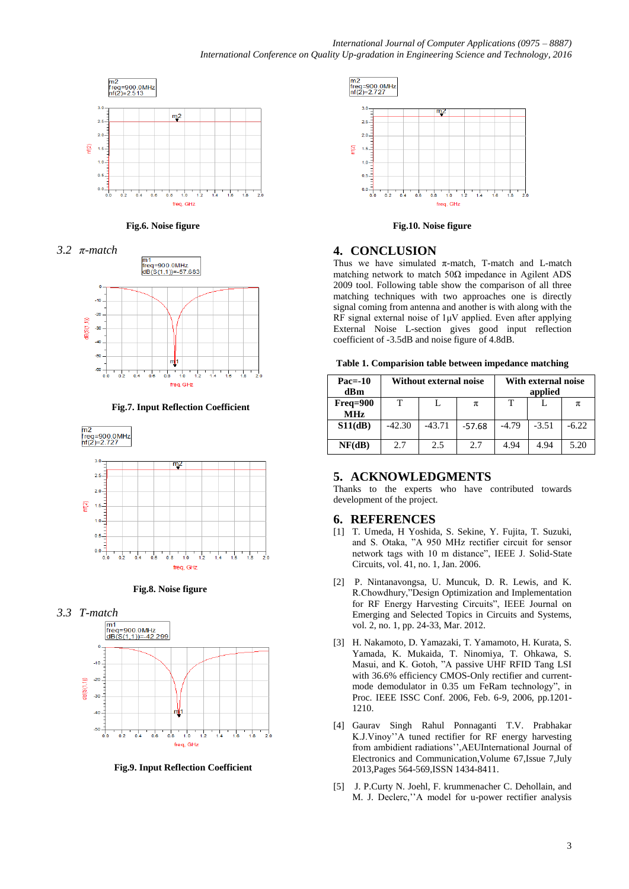

 **Fig.6. Noise figure**





 **Fig.7. Input Reflection Coefficient**



 **Fig.8. Noise figure**





 **Fig.9. Input Reflection Coefficient**



 **Fig.10. Noise figure**

## **4. CONCLUSION**

Thus we have simulated  $\pi$ -match, T-match and L-match matching network to match  $50\Omega$  impedance in Agilent ADS 2009 tool. Following table show the comparison of all three matching techniques with two approaches one is directly signal coming from antenna and another is with along with the RF signal external noise of 1μV applied. Even after applying External Noise L-section gives good input reflection coefficient of -3.5dB and noise figure of 4.8dB.

|  | Table 1. Comparision table between impedance matching |  |
|--|-------------------------------------------------------|--|
|  |                                                       |  |

| $Pac=10$<br>dBm        | Without external noise |          |          | With external noise<br>applied |         |         |
|------------------------|------------------------|----------|----------|--------------------------------|---------|---------|
| Freq=900<br><b>MHz</b> | т                      |          | π        | т                              |         | π       |
| S11(dB)                | $-42.30$               | $-43.71$ | $-57.68$ | $-4.79$                        | $-3.51$ | $-6.22$ |
| NF(dB)                 | 2.7                    | 2.5      | 2.7      | 4.94                           | 4.94    | 5.20    |

## **5. ACKNOWLEDGMENTS**

Thanks to the experts who have contributed towards development of the project.

#### **6. REFERENCES**

- [1] T. Umeda, H Yoshida, S. Sekine, Y. Fujita, T. Suzuki, and S. Otaka, "A 950 MHz rectifier circuit for sensor network tags with 10 m distance", IEEE J. Solid-State Circuits, vol. 41, no. 1, Jan. 2006.
- [2] P. Nintanavongsa, U. Muncuk, D. R. Lewis, and K. R.Chowdhury,"Design Optimization and Implementation for RF Energy Harvesting Circuits", IEEE Journal on Emerging and Selected Topics in Circuits and Systems, vol. 2, no. 1, pp. 24-33, Mar. 2012.
- [3] H. Nakamoto, D. Yamazaki, T. Yamamoto, H. Kurata, S. Yamada, K. Mukaida, T. Ninomiya, T. Ohkawa, S. Masui, and K. Gotoh, "A passive UHF RFID Tang LSI with 36.6% efficiency CMOS-Only rectifier and currentmode demodulator in 0.35 um FeRam technology", in Proc. IEEE ISSC Conf. 2006, Feb. 6-9, 2006, pp.1201- 1210.
- [4] Gaurav Singh Rahul Ponnaganti T.V. Prabhakar K.J.Vinoy''A tuned rectifier for RF energy harvesting from ambidient radiations'',AEUInternational Journal of Electronics and Communication,Volume 67,Issue 7,July 2013,Pages 564-569,ISSN 1434-8411.
- [5] J. P.Curty N. Joehl, F. krummenacher C. Dehollain, and M. J. Declerc,''A model for u-power rectifier analysis